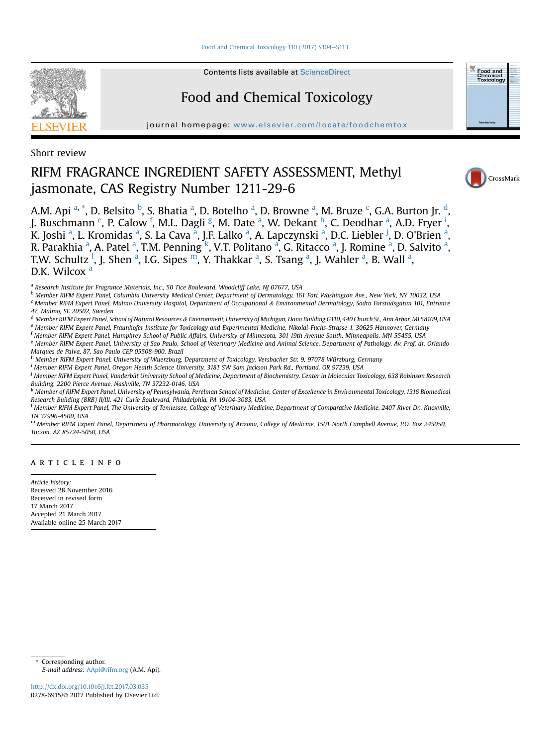[Food and Chemical Toxicology 110 \(2017\) S104](http://dx.doi.org/10.1016/j.fct.2017.03.035)-[S113](http://dx.doi.org/10.1016/j.fct.2017.03.035)



Contents lists available at [ScienceDirect](www.sciencedirect.com/science/journal/02786915)

# Food and Chemical Toxicology

journal homepage: <www.elsevier.com/locate/foodchemtox>

Short review

# RIFM FRAGRANCE INGREDIENT SAFETY ASSESSMENT, Methyl jasmonate, CAS Registry Number 1211-29-6



a Research Institute for Fragrance Materials, Inc., 50 Tice Boulevard, Woodcliff Lake, NJ 07677, USA

<sup>b</sup> Member RIFM Expert Panel, Columbia University Medical Center, Department of Dermatology, 161 Fort Washington Ave., New York, NY 10032, USA <sup>c</sup> Member RIFM Expert Panel, Malmo University Hospital, Department of Occupational & Environmental Dermatology, Sodra Forstadsgatan 101, Entrance 47, Malmo, SE 20502, Sweden

<sup>d</sup> Member RIFM Expert Panel, School of Natural Resources & Environment, University of Michigan, Dana Building G110, 440 Church St., Ann Arbor, MI 58109, USA

e Member RIFM Expert Panel, Fraunhofer Institute for Toxicology and Experimental Medicine, Nikolai-Fuchs-Strasse 1, 30625 Hannover, Germany

<sup>f</sup> Member RIFM Expert Panel, Humphrey School of Public Affairs, University of Minnesota, 301 19th Avenue South, Minneapolis, MN 55455, USA

<sup>g</sup> Member RIFM Expert Panel, University of Sao Paulo, School of Veterinary Medicine and Animal Science, Department of Pathology, Av. Prof. dr. Orlando Marques de Paiva, 87, Sao Paulo CEP 05508-900, Brazil

<sup>h</sup> Member RIFM Expert Panel, University of Wuerzburg, Department of Toxicology, Versbacher Str. 9, 97078 Würzburg, Germany

<sup>i</sup> Member RIFM Expert Panel, Oregon Health Science University, 3181 SW Sam Jackson Park Rd., Portland, OR 97239, USA

<sup>j</sup> Member RIFM Expert Panel, Vanderbilt University School of Medicine, Department of Biochemistry, Center in Molecular Toxicology, 638 Robinson Research Building, 2200 Pierce Avenue, Nashville, TN 37232-0146, USA

<sup>k</sup> Member of RIFM Expert Panel, University of Pennsylvania, Perelman School of Medicine, Center of Excellence in Environmental Toxicology, 1316 Biomedical Research Building (BRB) II/III, 421 Curie Boulevard, Philadelphia, PA 19104-3083, USA

<sup>1</sup> Member RIFM Expert Panel, The University of Tennessee, College of Veterinary Medicine, Department of Comparative Medicine, 2407 River Dr., Knoxville, TN 37996-4500, USA

<sup>m</sup> Member RIFM Expert Panel, Department of Pharmacology, University of Arizona, College of Medicine, 1501 North Campbell Avenue, P.O. Box 245050, Tucson, AZ 85724-5050, USA

article info

Article history: Received 28 November 2016 Received in revised form 17 March 2017 Accepted 21 March 2017 Available online 25 March 2017

\* Corresponding author. E-mail address: [AApi@rifm.org](mailto:AApi@rifm.org) (A.M. Api).



Food and<br>Chemical<br>Toxicology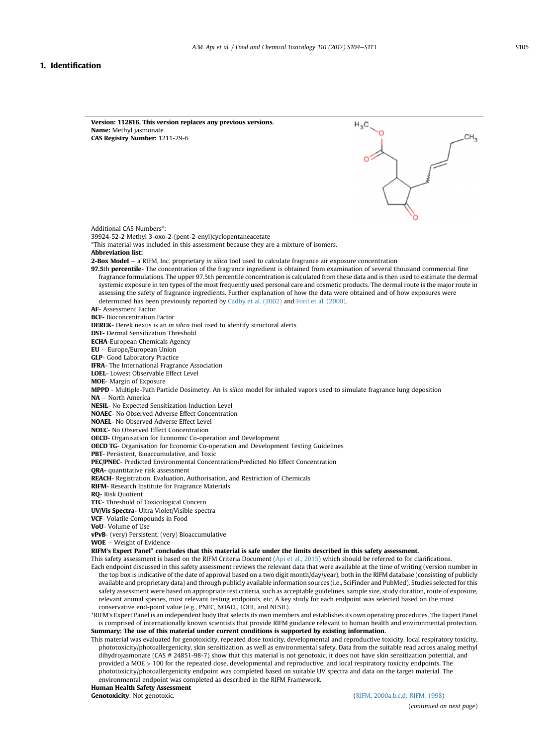Version: 112816. This version replaces any previous versions.  $H_2C$ Name: Methyl jasmonate CAS Registry Number: 1211-29-6 Additional CAS Numbers\*: 39924-52-2 Methyl 3-oxo-2-(pent-2-enyl)cyclopentaneacetate \*This material was included in this assessment because they are a mixture of isomers. Abbreviation list: 2-Box Model - a RIFM, Inc. proprietary in silico tool used to calculate fragrance air exposure concentration 97.5th percentile- The concentration of the fragrance ingredient is obtained from examination of several thousand commercial fine fragrance formulations. The upper 97.5th percentile concentration is calculated from these data and is then used to estimate the dermal systemic exposure in ten types of the most frequently used personal care and cosmetic products. The dermal route is the major route in assessing the safety of fragrance ingredients. Further explanation of how the data were obtained and of how exposures were determined has been previously reported by [Cadby et al. \(2002\)](#page-8-0) and [Ford et al. \(2000\).](#page-8-0) AF- Assessment Factor BCF- Bioconcentration Factor DEREK- Derek nexus is an in silico tool used to identify structural alerts DST- Dermal Sensitization Threshold ECHA-European Chemicals Agency  $EU - Europe/European Union$ GLP- Good Laboratory Practice IFRA- The International Fragrance Association LOEL- Lowest Observable Effect Level MOE- Margin of Exposure MPPD - Multiple-Path Particle Dosimetry. An in silico model for inhaled vapors used to simulate fragrance lung deposition  $NA - North America$ NESIL- No Expected Sensitization Induction Level NOAEC- No Observed Adverse Effect Concentration NOAEL- No Observed Adverse Effect Level NOEC- No Observed Effect Concentration OECD- Organisation for Economic Co-operation and Development OECD TG- Organisation for Economic Co-operation and Development Testing Guidelines PBT- Persistent, Bioaccumulative, and Toxic PEC/PNEC- Predicted Environmental Concentration/Predicted No Effect Concentration QRA- quantitative risk assessment REACH- Registration, Evaluation, Authorisation, and Restriction of Chemicals RIFM- Research Institute for Fragrance Materials RQ- Risk Quotient TTC- Threshold of Toxicological Concern

UV/Vis Spectra- Ultra Violet/Visible spectra

VCF- Volatile Compounds in Food

VoU- Volume of Use

vPvB- (very) Persistent, (very) Bioaccumulative

 $WOF - Weight of Evidence$ 

RIFM's Expert Panel\* concludes that this material is safe under the limits described in this safety assessment.

This safety assessment is based on the RIFM Criteria Document [\(Api et al., 2015\)](#page-8-0) which should be referred to for clarifications. Each endpoint discussed in this safety assessment reviews the relevant data that were available at the time of writing (version number in the top box is indicative of the date of approval based on a two digit month/day/year), both in the RIFM database (consisting of publicly available and proprietary data) and through publicly available information sources (i.e., SciFinder and PubMed). Studies selected for this safety assessment were based on appropriate test criteria, such as acceptable guidelines, sample size, study duration, route of exposure, relevant animal species, most relevant testing endpoints, etc. A key study for each endpoint was selected based on the most conservative end-point value (e.g., PNEC, NOAEL, LOEL, and NESIL).

\*RIFM's Expert Panel is an independent body that selects its own members and establishes its own operating procedures. The Expert Panel is comprised of internationally known scientists that provide RIFM guidance relevant to human health and environmental protection. Summary: The use of this material under current conditions is supported by existing information.

This material was evaluated for genotoxicity, repeated dose toxicity, developmental and reproductive toxicity, local respiratory toxicity, phototoxicity/photoallergenicity, skin sensitization, as well as environmental safety. Data from the suitable read across analog methyl dihydrojasmonate (CAS # 24851-98-7) show that this material is not genotoxic, it does not have skin sensitization potential, and provided a MOE > 100 for the repeated dose, developmental and reproductive, and local respiratory toxicity endpoints. The phototoxicity/photoallergenicity endpoint was completed based on suitable UV spectra and data on the target material. The environmental endpoint was completed as described in the RIFM Framework.

Human Health Safety Assessment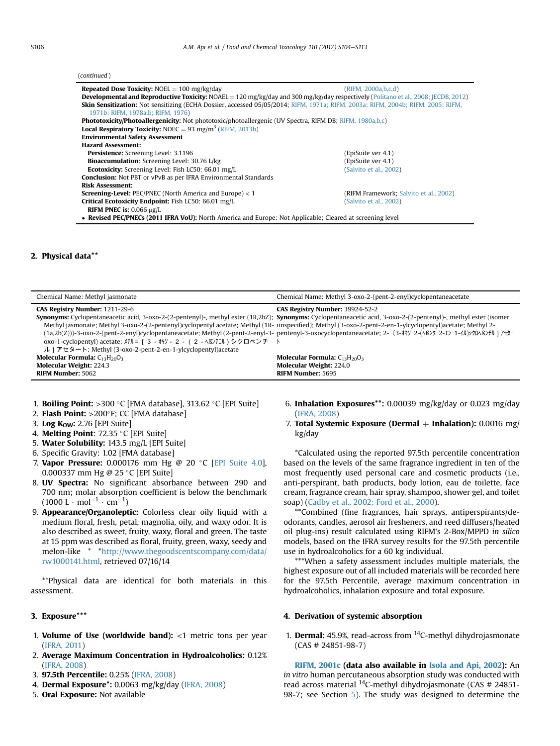#### <span id="page-2-0"></span>(continued )

| <b>Repeated Dose Toxicity:</b> NOEL = $100 \text{ mg/kg/day}$                                                                             | (RIFM, 2000a.b.c.d)                    |  |  |  |
|-------------------------------------------------------------------------------------------------------------------------------------------|----------------------------------------|--|--|--|
| <b>Developmental and Reproductive Toxicity:</b> NOAEL = 120 mg/kg/day and 300 mg/kg/day respectively (Politano et al., 2008; [ECDB, 2012] |                                        |  |  |  |
| Skin Sensitization: Not sensitizing (ECHA Dossier, accessed 05/05/2014; RIFM, 1971a; RIFM, 2003a; RIFM, 2004b; RIFM, 2005; RIFM,          |                                        |  |  |  |
| 1971b: RIFM. 1978a.b: RIFM. 1976)                                                                                                         |                                        |  |  |  |
| <b>Phototoxicity/Photoallergenicity:</b> Not phototoxic/photoallergenic (UV Spectra, RIFM DB; RIFM, 1980a,b,c)                            |                                        |  |  |  |
| <b>Local Respiratory Toxicity:</b> NOEC = 93 mg/m <sup>3</sup> (RIFM, 2013b)                                                              |                                        |  |  |  |
| <b>Environmental Safety Assessment</b>                                                                                                    |                                        |  |  |  |
| <b>Hazard Assessment:</b>                                                                                                                 |                                        |  |  |  |
| Persistence: Screening Level: 3.1196                                                                                                      | (EpiSuite ver 4.1)                     |  |  |  |
| <b>Bioaccumulation:</b> Screening Level: 30.76 L/kg                                                                                       | (EpiSuite ver 4.1)                     |  |  |  |
| <b>Ecotoxicity:</b> Screening Level: Fish LC50: 66.01 mg/L                                                                                | (Salvito et al., 2002)                 |  |  |  |
| <b>Conclusion:</b> Not PBT or vPvB as per IFRA Environmental Standards                                                                    |                                        |  |  |  |
| <b>Risk Assessment:</b>                                                                                                                   |                                        |  |  |  |
| <b>Screening-Level:</b> PEC/PNEC (North America and Europe) $< 1$                                                                         | (RIFM Framework: Salvito et al., 2002) |  |  |  |
| Critical Ecotoxicity Endpoint: Fish LC50: 66.01 mg/L                                                                                      | (Salvito et al., 2002)                 |  |  |  |
| <b>RIFM PNEC is:</b> 0.066 $\mu$ g/L                                                                                                      |                                        |  |  |  |
| • Revised PEC/PNECs (2011 IFRA VoU): North America and Europe: Not Applicable; Cleared at screening level                                 |                                        |  |  |  |

#### 2. Physical data\*\*

| Chemical Name: Methyl jasmonate                                                                                                                                                                                                                                                                                                                                                                                                                                                                          | Chemical Name: Methyl 3-oxo-2-(pent-2-enyl)cyclopentaneacetate                                                                                                                                          |
|----------------------------------------------------------------------------------------------------------------------------------------------------------------------------------------------------------------------------------------------------------------------------------------------------------------------------------------------------------------------------------------------------------------------------------------------------------------------------------------------------------|---------------------------------------------------------------------------------------------------------------------------------------------------------------------------------------------------------|
| CAS Registry Number: 1211-29-6<br>Synonyms: Cyclopentaneacetic acid, 3-oxo-2-(2-pentenyl)-, methyl ester (1R,2bZ); Synonyms: Cyclopentaneacetic acid, 3-oxo-2-(2-pentenyl)-, methyl ester (isomer<br>Methyl jasmonate; Methyl 3-oxo-2-(2-pentenyl)cyclopentyl acetate; Methyl (1R- unspecified); Methyl (3-oxo-2-pent-2-en-1-ylcyclopentyl)acetate; Methyl 2-<br>oxo-1-cyclopentyl) acetate; メチル = [ 3 - オキソ - 2 - ( 2 - ヘßンテニル ) シクロペンチ<br>ル ] アセタート; Methyl (3-oxo-2-pent-2-en-1-ylcyclopentyl)acetate | <b>CAS Registry Number: 39924-52-2</b><br>(1a,2b(Z)))-3-oxo-2-(pent-2-enyl)cyclopentaneacetate; Methyl (2-pent-2-enyl-3- pentenyl-3-oxocyclopentaneacetate; 2- (3-オキソ-2-(ヘßンター2-エン-1-イル)シクロヘßンチル ] アセター |
| <b>Molecular Formula:</b> $C_{13}H_{20}O_3$<br><b>Molecular Weight: 224.3</b><br><b>RIFM Number: 5062</b>                                                                                                                                                                                                                                                                                                                                                                                                | <b>Molecular Formula:</b> $C_{13}H_{20}O_3$<br><b>Molecular Weight: 224.0</b><br><b>RIFM Number: 5695</b>                                                                                               |

- 1. Boiling Point:  $>300$  °C [FMA database], 313.62 °C [EPI Suite]
- 2. Flash Point:  $>200^\circ$ F; CC [FMA database]
- 3. Log K<sub>OW</sub>: 2.76 [EPI Suite]
- 4. Melting Point: 72.35 °C [EPI Suite]
- 5. Water Solubility: 143.5 mg/L [EPI Suite]
- 6. Specific Gravity: 1.02 [FMA database]
- 7. Vapor Pressure: 0.000176 mm Hg @ 20  $\degree$ C [[EPI Suite 4.0](#page-8-0)], 0.000337 mm Hg @ 25 °C [EPI Suite]
- 8. UV Spectra: No significant absorbance between 290 and 700 nm; molar absorption coefficient is below the benchmark  $(1000 \; \text{L} \cdot \text{mol}^{-1} \cdot \text{cm}^{-1})$
- 9. Appearance/Organoleptic: Colorless clear oily liquid with a medium floral, fresh, petal, magnolia, oily, and waxy odor. It is also described as sweet, fruity, waxy, floral and green. The taste at 15 ppm was described as floral, fruity, green, waxy, seedy and melon-like \* \*[http://www.thegoodscentscompany.com/data/](http://www.thegoodscentscompany.com/data/rw1000141.html) [rw1000141.html](http://www.thegoodscentscompany.com/data/rw1000141.html), retrieved 07/16/14

\*\*Physical data are identical for both materials in this assessment.

## 3. Exposure\*\*\*

- 1. Volume of Use (worldwide band):  $<$ 1 metric tons per year ([IFRA, 2011](#page-8-0))
- 2. Average Maximum Concentration in Hydroalcoholics: 0.12% ([IFRA, 2008\)](#page-8-0)
- 3. 97.5th Percentile: 0.25% ([IFRA, 2008\)](#page-8-0)
- 4. Dermal Exposure\*: 0.0063 mg/kg/day [\(IFRA, 2008\)](#page-8-0)
- 5. Oral Exposure: Not available
- 6. **Inhalation Exposures**\*\*: 0.00039 mg/kg/day or 0.023 mg/day ([IFRA, 2008\)](#page-8-0)
- 7. Total Systemic Exposure (Dermal  $+$  Inhalation): 0.0016 mg/ kg/day

\*Calculated using the reported 97.5th percentile concentration based on the levels of the same fragrance ingredient in ten of the most frequently used personal care and cosmetic products (i.e., anti-perspirant, bath products, body lotion, eau de toilette, face cream, fragrance cream, hair spray, shampoo, shower gel, and toilet soap) ([Cadby et al., 2002; Ford et al., 2000](#page-8-0)).

\*\*Combined (fine fragrances, hair sprays, antiperspirants/deodorants, candles, aerosol air fresheners, and reed diffusers/heated oil plug-ins) result calculated using RIFM's 2-Box/MPPD in silico models, based on the IFRA survey results for the 97.5th percentile use in hydroalcoholics for a 60 kg individual.

\*\*\*When a safety assessment includes multiple materials, the highest exposure out of all included materials will be recorded here for the 97.5th Percentile, average maximum concentration in hydroalcoholics, inhalation exposure and total exposure.

## 4. Derivation of systemic absorption

1. **Dermal:** 45.9%, read-across from  $^{14}$ C-methyl dihydrojasmonate (CAS # 24851-98-7)

[RIFM, 2001c](#page-9-0) (data also available in [Isola and Api, 2002\)](#page-8-0): An in vitro human percutaneous absorption study was conducted with read across material <sup>14</sup>C-methyl dihydrojasmonate (CAS # 24851-98-7; see Section [5](#page-3-0)). The study was designed to determine the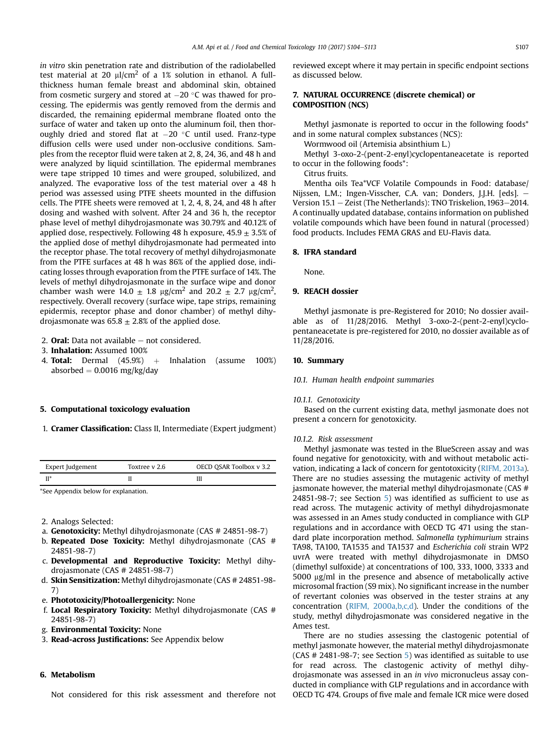<span id="page-3-0"></span>in vitro skin penetration rate and distribution of the radiolabelled test material at 20  $\mu$ l/cm<sup>2</sup> of a 1% solution in ethanol. A fullthickness human female breast and abdominal skin, obtained from cosmetic surgery and stored at  $-20$  °C was thawed for processing. The epidermis was gently removed from the dermis and discarded, the remaining epidermal membrane floated onto the surface of water and taken up onto the aluminum foil, then thoroughly dried and stored flat at  $-20$  °C until used. Franz-type diffusion cells were used under non-occlusive conditions. Samples from the receptor fluid were taken at 2, 8, 24, 36, and 48 h and were analyzed by liquid scintillation. The epidermal membranes were tape stripped 10 times and were grouped, solubilized, and analyzed. The evaporative loss of the test material over a 48 h period was assessed using PTFE sheets mounted in the diffusion cells. The PTFE sheets were removed at 1, 2, 4, 8, 24, and 48 h after dosing and washed with solvent. After 24 and 36 h, the receptor phase level of methyl dihydrojasmonate was 30.79% and 40.12% of applied dose, respectively. Following 48 h exposure,  $45.9 \pm 3.5\%$  of the applied dose of methyl dihydrojasmonate had permeated into the receptor phase. The total recovery of methyl dihydrojasmonate from the PTFE surfaces at 48 h was 86% of the applied dose, indicating losses through evaporation from the PTFE surface of 14%. The levels of methyl dihydrojasmonate in the surface wipe and donor chamber wash were 14.0  $\pm$  1.8  $\mu$ g/cm<sup>2</sup> and 20.2  $\pm$  2.7  $\mu$ g/cm<sup>2</sup>, respectively. Overall recovery (surface wipe, tape strips, remaining epidermis, receptor phase and donor chamber) of methyl dihydrojasmonate was  $65.8 \pm 2.8\%$  of the applied dose.

- 2. Oral: Data not available  $-$  not considered.
- 3. Inhalation: Assumed 100%
- 4. **Total:** Dermal  $(45.9%)$  + Inhalation (assume  $100%)$ absorbed  $= 0.0016$  mg/kg/day

#### 5. Computational toxicology evaluation

1. Cramer Classification: Class II, Intermediate (Expert judgment)

| Expert Judgement | Toxtree y 2.6 | OECD QSAR Toolbox v 3.2 |  |
|------------------|---------------|-------------------------|--|
|                  |               |                         |  |

\*See Appendix below for explanation.

2. Analogs Selected:

- a. Genotoxicity: Methyl dihydrojasmonate (CAS # 24851-98-7)
- b. Repeated Dose Toxicity: Methyl dihydrojasmonate (CAS # 24851-98-7)
- c. Developmental and Reproductive Toxicity: Methyl dihydrojasmonate (CAS # 24851-98-7)
- d. Skin Sensitization: Methyl dihydrojasmonate (CAS # 24851-98- 7)
- e. Phototoxicity/Photoallergenicity: None
- f. Local Respiratory Toxicity: Methyl dihydrojasmonate (CAS # 24851-98-7)
- g. Environmental Toxicity: None
- 3. Read-across Justifications: See Appendix below

## 6. Metabolism

Not considered for this risk assessment and therefore not

reviewed except where it may pertain in specific endpoint sections as discussed below.

# 7. NATURAL OCCURRENCE (discrete chemical) or COMPOSITION (NCS)

Methyl jasmonate is reported to occur in the following foods\* and in some natural complex substances (NCS):

Wormwood oil (Artemisia absinthium L.)

Methyl 3-oxo-2-(pent-2-enyl)cyclopentaneacetate is reported to occur in the following foods\*:

Citrus fruits.

Mentha oils Tea\*VCF Volatile Compounds in Food: database/ Nijssen, L.M.; Ingen-Visscher, C.A. van; Donders, J.J.H. [eds]. -Version  $15.1 -$  Zeist (The Netherlands): TNO Triskelion, 1963-2014. A continually updated database, contains information on published volatile compounds which have been found in natural (processed) food products. Includes FEMA GRAS and EU-Flavis data.

#### 8. IFRA standard

None.

# 9. REACH dossier

Methyl jasmonate is pre-Registered for 2010; No dossier available as of 11/28/2016. Methyl 3-oxo-2-(pent-2-enyl)cyclopentaneacetate is pre-registered for 2010, no dossier available as of 11/28/2016.

### 10. Summary

10.1. Human health endpoint summaries

#### 10.1.1. Genotoxicity

Based on the current existing data, methyl jasmonate does not present a concern for genotoxicity.

#### 10.1.2. Risk assessment

Methyl jasmonate was tested in the BlueScreen assay and was found negative for genotoxicity, with and without metabolic activation, indicating a lack of concern for gentotoxicity ([RIFM, 2013a\)](#page-9-0). There are no studies assessing the mutagenic activity of methyl jasmonate however, the material methyl dihydrojasmonate (CAS # 24851-98-7; see Section 5) was identified as sufficient to use as read across. The mutagenic activity of methyl dihydrojasmonate was assessed in an Ames study conducted in compliance with GLP regulations and in accordance with OECD TG 471 using the standard plate incorporation method. Salmonella typhimurium strains TA98, TA100, TA1535 and TA1537 and Escherichia coli strain WP2 uvrA were treated with methyl dihydrojasmonate in DMSO (dimethyl sulfoxide) at concentrations of 100, 333, 1000, 3333 and  $5000$   $\mu$ g/ml in the presence and absence of metabolically active microsomal fraction (S9 mix). No significant increase in the number of revertant colonies was observed in the tester strains at any concentration (RIFM,  $2000a,b,c,d$ ). Under the conditions of the study, methyl dihydrojasmonate was considered negative in the Ames test.

There are no studies assessing the clastogenic potential of methyl jasmonate however, the material methyl dihydrojasmonate (CAS # 2481-98-7; see Section 5) was identified as suitable to use for read across. The clastogenic activity of methyl dihydrojasmonate was assessed in an in vivo micronucleus assay conducted in compliance with GLP regulations and in accordance with OECD TG 474. Groups of five male and female ICR mice were dosed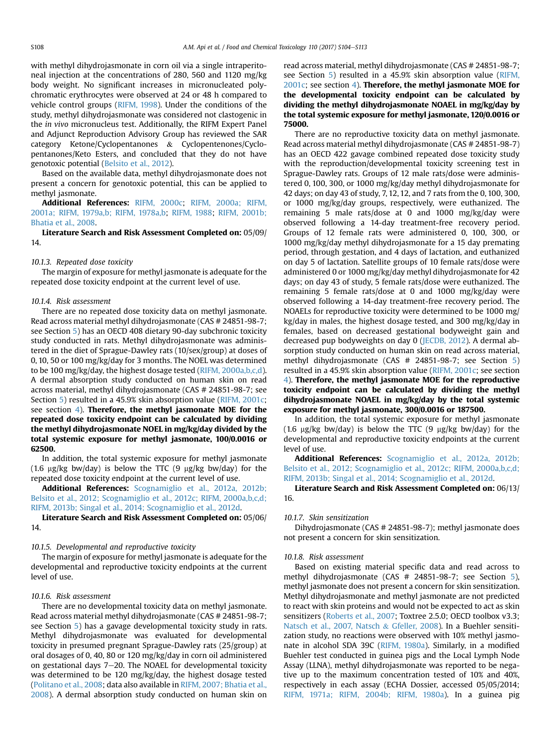with methyl dihydrojasmonate in corn oil via a single intraperitoneal injection at the concentrations of 280, 560 and 1120 mg/kg body weight. No significant increases in micronucleated polychromatic erythrocytes were observed at 24 or 48 h compared to vehicle control groups [\(RIFM, 1998\)](#page-9-0). Under the conditions of the study, methyl dihydrojasmonate was considered not clastogenic in the in vivo micronucleus test. Additionally, the RIFM Expert Panel and Adjunct Reproduction Advisory Group has reviewed the SAR category Ketone/Cyclopentanones & Cyclopentenones/Cyclopentanones/Keto Esters, and concluded that they do not have genotoxic potential [\(Belsito et al., 2012](#page-8-0)).

Based on the available data, methyl dihydrojasmonate does not present a concern for genotoxic potential, this can be applied to methyl jasmonate.

Additional References: [RIFM, 2000c](#page-9-0); [RIFM, 2000a; RIFM,](#page-9-0) [2001a; RIFM, 1979a,b; RIFM, 1978a,b](#page-9-0); [RIFM, 1988;](#page-9-0) [RIFM, 2001b;](#page-9-0) [Bhatia et al., 2008](#page-9-0).

Literature Search and Risk Assessment Completed on: 05/09/ 14.

#### 10.1.3. Repeated dose toxicity

The margin of exposure for methyl jasmonate is adequate for the repeated dose toxicity endpoint at the current level of use.

#### 10.1.4. Risk assessment

There are no repeated dose toxicity data on methyl jasmonate. Read across material methyl dihydrojasmonate (CAS # 24851-98-7; see Section [5](#page-3-0)) has an OECD 408 dietary 90-day subchronic toxicity study conducted in rats. Methyl dihydrojasmonate was administered in the diet of Sprague-Dawley rats (10/sex/group) at doses of 0, 10, 50 or 100 mg/kg/day for 3 months. The NOEL was determined to be 100 mg/kg/day, the highest dosage tested ([RIFM, 2000a,b,c,d\)](#page-9-0). A dermal absorption study conducted on human skin on read across material, methyl dihydrojasmonate (CAS # 24851-98-7; see Section [5\)](#page-3-0) resulted in a 45.9% skin absorption value [\(RIFM, 2001c](#page-9-0); see section [4\)](#page-2-0). Therefore, the methyl jasmonate MOE for the repeated dose toxicity endpoint can be calculated by dividing the methyl dihydrojasmonate NOEL in mg/kg/day divided by the total systemic exposure for methyl jasmonate, 100/0.0016 or 62500.

In addition, the total systemic exposure for methyl jasmonate (1.6  $\mu$ g/kg bw/day) is below the TTC (9  $\mu$ g/kg bw/day) for the repeated dose toxicity endpoint at the current level of use.

Additional References: [Scognamiglio et al., 2012a, 2012b;](#page-9-0) [Belsito et al., 2012; Scognamiglio et al., 2012c; RIFM, 2000a,b,c,d;](#page-9-0) [RIFM, 2013b; Singal et al., 2014; Scognamiglio et al., 2012d.](#page-9-0)

Literature Search and Risk Assessment Completed on: 05/06/ 14.

#### 10.1.5. Developmental and reproductive toxicity

The margin of exposure for methyl jasmonate is adequate for the developmental and reproductive toxicity endpoints at the current level of use.

#### 10.1.6. Risk assessment

There are no developmental toxicity data on methyl jasmonate. Read across material methyl dihydrojasmonate (CAS # 24851-98-7; see Section [5\)](#page-3-0) has a gavage developmental toxicity study in rats. Methyl dihydrojasmonate was evaluated for developmental toxicity in presumed pregnant Sprague-Dawley rats (25/group) at oral dosages of 0, 40, 80 or 120 mg/kg/day in corn oil administered on gestational days  $7-20$ . The NOAEL for developmental toxicity was determined to be 120 mg/kg/day, the highest dosage tested ([Politano et al., 2008;](#page-8-0) data also available in [RIFM, 2007; Bhatia et al.,](#page-9-0) [2008](#page-9-0)). A dermal absorption study conducted on human skin on read across material, methyl dihydrojasmonate (CAS # 24851-98-7; see Section [5](#page-3-0)) resulted in a 45.9% skin absorption value ([RIFM,](#page-9-0)  $2001c$ ; see section [4](#page-2-0)). Therefore, the methyl jasmonate MOE for the developmental toxicity endpoint can be calculated by dividing the methyl dihydrojasmonate NOAEL in mg/kg/day by the total systemic exposure for methyl jasmonate, 120/0.0016 or 75000.

There are no reproductive toxicity data on methyl jasmonate. Read across material methyl dihydrojasmonate (CAS # 24851-98-7) has an OECD 422 gavage combined repeated dose toxicity study with the reproduction/developmental toxicity screening test in Sprague-Dawley rats. Groups of 12 male rats/dose were administered 0, 100, 300, or 1000 mg/kg/day methyl dihydrojasmonate for 42 days; on day 43 of study, 7, 12, 12, and 7 rats from the 0, 100, 300, or 1000 mg/kg/day groups, respectively, were euthanized. The remaining 5 male rats/dose at 0 and 1000 mg/kg/day were observed following a 14-day treatment-free recovery period. Groups of 12 female rats were administered 0, 100, 300, or 1000 mg/kg/day methyl dihydrojasmonate for a 15 day premating period, through gestation, and 4 days of lactation, and euthanized on day 5 of lactation. Satellite groups of 10 female rats/dose were administered 0 or 1000 mg/kg/day methyl dihydrojasmonate for 42 days; on day 43 of study, 5 female rats/dose were euthanized. The remaining 5 female rats/dose at 0 and 1000 mg/kg/day were observed following a 14-day treatment-free recovery period. The NOAELs for reproductive toxicity were determined to be 1000 mg/ kg/day in males, the highest dosage tested, and 300 mg/kg/day in females, based on decreased gestational bodyweight gain and decreased pup bodyweights on day 0 ([JECDB, 2012\)](#page-8-0). A dermal absorption study conducted on human skin on read across material, methyl dihydrojasmonate (CAS # 24851-98-7; see Section [5\)](#page-3-0) resulted in a 45.9% skin absorption value [\(RIFM, 2001c](#page-9-0); see section [4\)](#page-2-0). Therefore, the methyl jasmonate MOE for the reproductive toxicity endpoint can be calculated by dividing the methyl dihydrojasmonate NOAEL in mg/kg/day by the total systemic exposure for methyl jasmonate, 300/0.0016 or 187500.

In addition, the total systemic exposure for methyl jasmonate (1.6  $\mu$ g/kg bw/day) is below the TTC (9  $\mu$ g/kg bw/day) for the developmental and reproductive toxicity endpoints at the current level of use.

Additional References: [Scognamiglio et al., 2012a, 2012b;](#page-9-0) [Belsito et al., 2012; Scognamiglio et al., 2012c; RIFM, 2000a,b,c,d;](#page-9-0) [RIFM, 2013b; Singal et al., 2014; Scognamiglio et al., 2012d](#page-9-0).

Literature Search and Risk Assessment Completed on: 06/13/ 16.

#### 10.1.7. Skin sensitization

Dihydrojasmonate (CAS # 24851-98-7); methyl jasmonate does not present a concern for skin sensitization.

#### 10.1.8. Risk assessment

Based on existing material specific data and read across to methyl dihydrojasmonate (CAS # 24851-98-7; see Section [5\)](#page-3-0), methyl jasmonate does not present a concern for skin sensitization. Methyl dihydrojasmonate and methyl jasmonate are not predicted to react with skin proteins and would not be expected to act as skin sensitizers [\(Roberts et al., 2007](#page-9-0); Toxtree 2.5.0; OECD toolbox v3.3; [Natsch et al., 2007, Natsch](#page-8-0) & [Gfeller, 2008](#page-8-0)). In a Buehler sensitization study, no reactions were observed with 10% methyl jasmonate in alcohol SDA 39C ([RIFM, 1980a](#page-8-0)). Similarly, in a modified Buehler test conducted in guinea pigs and the Local Lymph Node Assay (LLNA), methyl dihydrojasmonate was reported to be negative up to the maximum concentration tested of 10% and 40%, respectively in each assay (ECHA Dossier, accessed 05/05/2014; [RIFM, 1971a; RIFM, 2004b; RIFM, 1980a](#page-8-0)). In a guinea pig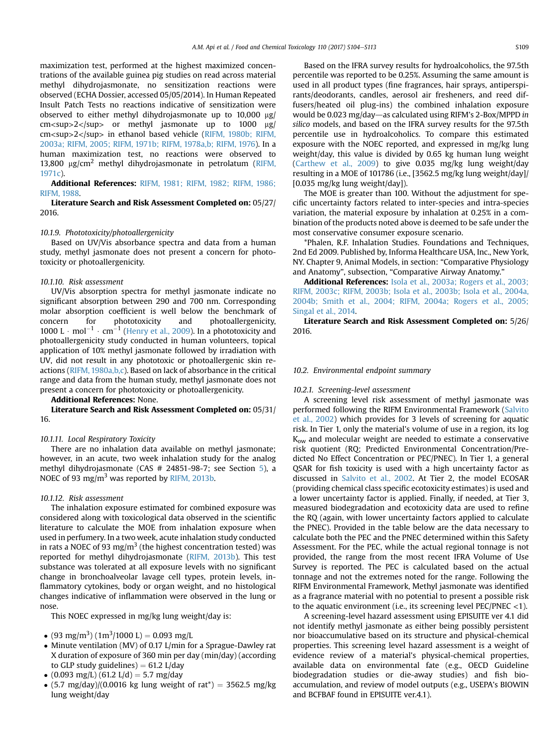maximization test, performed at the highest maximized concentrations of the available guinea pig studies on read across material methyl dihydrojasmonate, no sensitization reactions were observed (ECHA Dossier, accessed 05/05/2014). In Human Repeated Insult Patch Tests no reactions indicative of sensitization were observed to either methyl dihydrojasmonate up to  $10,000 \text{ µg}$ cm<sup>2</sup> or methyl jasmonate up to 1000 µg/ cm<sup>2</sup> in ethanol based vehicle ([RIFM, 1980b; RIFM,](#page-8-0) [2003a; RIFM, 2005; RIFM, 1971b; RIFM, 1978a,b; RIFM, 1976\)](#page-8-0). In a human maximization test, no reactions were observed to 13,800  $\mu$ g/cm<sup>2</sup> methyl dihydrojasmonate in petrolatum [\(RIFM,](#page-8-0) [1971c](#page-8-0)).

Additional References: [RIFM, 1981; RIFM, 1982; RIFM, 1986;](#page-8-0) [RIFM, 1988](#page-8-0).

Literature Search and Risk Assessment Completed on: 05/27/ 2016.

## 10.1.9. Phototoxicity/photoallergenicity

Based on UV/Vis absorbance spectra and data from a human study, methyl jasmonate does not present a concern for phototoxicity or photoallergenicity.

## 10.1.10. Risk assessment

UV/Vis absorption spectra for methyl jasmonate indicate no significant absorption between 290 and 700 nm. Corresponding molar absorption coefficient is well below the benchmark of concern for phototoxicity and photoallergenicity, 1000 L  $\cdot$  mol<sup>-1</sup>  $\cdot$  cm<sup>-1</sup> [\(Henry et al., 2009](#page-8-0)). In a phototoxicity and photoallergenicity study conducted in human volunteers, topical application of 10% methyl jasmonate followed by irradiation with UV, did not result in any phototoxic or photoallergenic skin reactions [\(RIFM, 1980a,b,c\)](#page-8-0). Based on lack of absorbance in the critical range and data from the human study, methyl jasmonate does not present a concern for phototoxicity or photoallergenicity.

#### Additional References: None.

Literature Search and Risk Assessment Completed on: 05/31/ 16.

#### 10.1.11. Local Respiratory Toxicity

There are no inhalation data available on methyl jasmonate; however, in an acute, two week inhalation study for the analog methyl dihydrojasmonate (CAS # 24851-98-7; see Section [5](#page-3-0)), a NOEC of 93 mg/m<sup>3</sup> was reported by [RIFM, 2013b.](#page-9-0)

## 10.1.12. Risk assessment

The inhalation exposure estimated for combined exposure was considered along with toxicological data observed in the scientific literature to calculate the MOE from inhalation exposure when used in perfumery. In a two week, acute inhalation study conducted in rats a NOEC of 93 mg/ $m<sup>3</sup>$  (the highest concentration tested) was reported for methyl dihydrojasmonate ([RIFM, 2013b](#page-9-0)). This test substance was tolerated at all exposure levels with no significant change in bronchoalveolar lavage cell types, protein levels, inflammatory cytokines, body or organ weight, and no histological changes indicative of inflammation were observed in the lung or nose.

This NOEC expressed in mg/kg lung weight/day is:

- (93 mg/m<sup>3</sup>) (1m<sup>3</sup>/1000 L) = 0.093 mg/L
- Minute ventilation (MV) of 0.17 L/min for a Sprague-Dawley rat X duration of exposure of 360 min per day (min/day) (according to GLP study guidelines)  $= 61.2$  L/day
- (0.093 mg/L) (61.2 L/d) = 5.7 mg/day
- $(5.7 \text{ mg/day})/(0.0016 \text{ kg lung weight of rat}^*) = 3562.5 \text{ mg/kg}$ lung weight/day

Based on the IFRA survey results for hydroalcoholics, the 97.5th percentile was reported to be 0.25%. Assuming the same amount is used in all product types (fine fragrances, hair sprays, antiperspirants/deodorants, candles, aerosol air fresheners, and reed diffusers/heated oil plug-ins) the combined inhalation exposure would be 0.023 mg/day—as calculated using RIFM's 2-Box/MPPD in silico models, and based on the IFRA survey results for the 97.5th percentile use in hydroalcoholics. To compare this estimated exposure with the NOEC reported, and expressed in mg/kg lung weight/day, this value is divided by 0.65 kg human lung weight ([Carthew et al., 2009\)](#page-8-0) to give 0.035 mg/kg lung weight/day resulting in a MOE of 101786 (i.e., [3562.5 mg/kg lung weight/day]/ [0.035 mg/kg lung weight/day]).

The MOE is greater than 100. Without the adjustment for specific uncertainty factors related to inter-species and intra-species variation, the material exposure by inhalation at 0.25% in a combination of the products noted above is deemed to be safe under the most conservative consumer exposure scenario.

\*Phalen, R.F. Inhalation Studies. Foundations and Techniques, 2nd Ed 2009. Published by, Informa Healthcare USA, Inc., New York, NY. Chapter 9, Animal Models, in section: "Comparative Physiology and Anatomy", subsection, "Comparative Airway Anatomy."

Additional References: [Isola et al., 2003a; Rogers et al., 2003;](#page-8-0) [RIFM, 2003c; RIFM, 2003b; Isola et al., 2003b; Isola et al., 2004a,](#page-8-0) [2004b; Smith et al., 2004; RIFM, 2004a; Rogers et al., 2005;](#page-8-0) [Singal et al., 2014.](#page-8-0)

Literature Search and Risk Assessment Completed on: 5/26/ 2016.

## 10.2. Environmental endpoint summary

#### 10.2.1. Screening-level assessment

A screening level risk assessment of methyl jasmonate was performed following the RIFM Environmental Framework [\(Salvito](#page-9-0) [et al., 2002](#page-9-0)) which provides for 3 levels of screening for aquatic risk. In Tier 1, only the material's volume of use in a region, its log K<sub>ow</sub> and molecular weight are needed to estimate a conservative risk quotient (RQ; Predicted Environmental Concentration/Predicted No Effect Concentration or PEC/PNEC). In Tier 1, a general QSAR for fish toxicity is used with a high uncertainty factor as discussed in [Salvito et al., 2002.](#page-9-0) At Tier 2, the model ECOSAR (providing chemical class specific ecotoxicity estimates) is used and a lower uncertainty factor is applied. Finally, if needed, at Tier 3, measured biodegradation and ecotoxicity data are used to refine the RQ (again, with lower uncertainty factors applied to calculate the PNEC). Provided in the table below are the data necessary to calculate both the PEC and the PNEC determined within this Safety Assessment. For the PEC, while the actual regional tonnage is not provided, the range from the most recent IFRA Volume of Use Survey is reported. The PEC is calculated based on the actual tonnage and not the extremes noted for the range. Following the RIFM Environmental Framework, Methyl jasmonate was identified as a fragrance material with no potential to present a possible risk to the aquatic environment (i.e., its screening level PEC/PNEC <1).

A screening-level hazard assessment using EPISUITE ver 4.1 did not identify methyl jasmonate as either being possibly persistent nor bioaccumulative based on its structure and physical-chemical properties. This screening level hazard assessment is a weight of evidence review of a material's physical-chemical properties, available data on environmental fate (e.g., OECD Guideline biodegradation studies or die-away studies) and fish bioaccumulation, and review of model outputs (e.g., USEPA's BIOWIN and BCFBAF found in EPISUITE ver.4.1).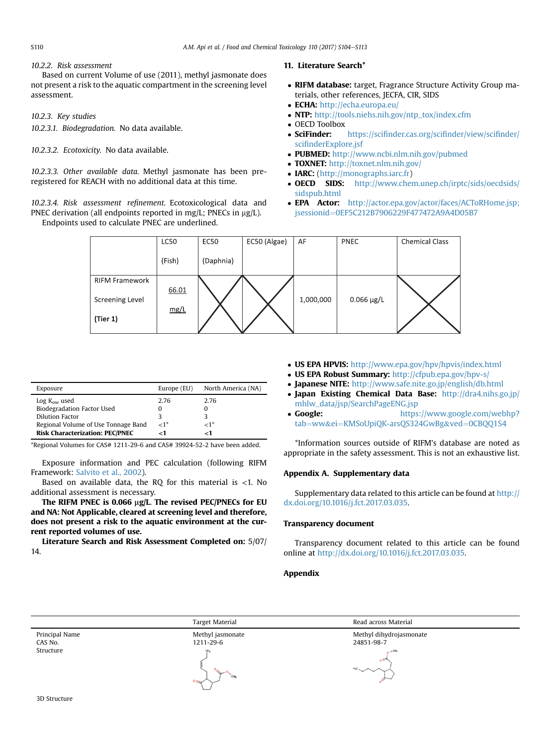10.2.2. Risk assessment

Based on current Volume of use (2011), methyl jasmonate does not present a risk to the aquatic compartment in the screening level assessment.

10.2.3. Key studies

10.2.3.1. Biodegradation. No data available.

10.2.3.2. Ecotoxicity. No data available.

10.2.3.3. Other available data. Methyl jasmonate has been preregistered for REACH with no additional data at this time.

10.2.3.4. Risk assessment refinement. Ecotoxicological data and PNEC derivation (all endpoints reported in mg/L; PNECs in  $\mu$ g/L). Endpoints used to calculate PNEC are underlined.

# 11. Literature Search\*

- RIFM database: target, Fragrance Structure Activity Group materials, other references, JECFA, CIR, SIDS
- ECHA: <http://echa.europa.eu/>
- NTP: [http://tools.niehs.nih.gov/ntp\\_tox/index.cfm](http://tools.niehs.nih.gov/ntp_tox/index.cfm)
- OECD Toolbox<br>• SciFinder:
- https://scifi[nder.cas.org/sci](https://scifinder.cas.org/scifinder/view/scifinder/scifinderExplore.jsf)finder/view/scifinder/ scifi[nderExplore.jsf](https://scifinder.cas.org/scifinder/view/scifinder/scifinderExplore.jsf)
- PUBMED: <http://www.ncbi.nlm.nih.gov/pubmed>
- TOXNET: <http://toxnet.nlm.nih.gov/>
- **IARC:** [\(http://monographs.iarc.fr\)](http://monographs.iarc.fr)
- OECD SIDS: [http://www.chem.unep.ch/irptc/sids/oecdsids/](http://www.chem.unep.ch/irptc/sids/oecdsids/sidspub.html) [sidspub.html](http://www.chem.unep.ch/irptc/sids/oecdsids/sidspub.html)
- EPA Actor: [http://actor.epa.gov/actor/faces/ACToRHome.jsp;](http://actor.epa.gov/actor/faces/ACToRHome.jsp;jsessionid=0EF5C212B7906229F477472A9A4D05B7) [jsessionid](http://actor.epa.gov/actor/faces/ACToRHome.jsp;jsessionid=0EF5C212B7906229F477472A9A4D05B7)¼[0EF5C212B7906229F477472A9A4D05B7](http://actor.epa.gov/actor/faces/ACToRHome.jsp;jsessionid=0EF5C212B7906229F477472A9A4D05B7)

|                        | LC50   | EC50      | EC50 (Algae) | AF        | <b>PNEC</b>     | <b>Chemical Class</b> |
|------------------------|--------|-----------|--------------|-----------|-----------------|-----------------------|
|                        | (Fish) | (Daphnia) |              |           |                 |                       |
| <b>RIFM Framework</b>  |        |           |              |           |                 |                       |
| <b>Screening Level</b> | 66.01  |           |              | 1,000,000 | $0.066 \mu g/L$ |                       |
| (Tier 1)               | mg/L   |           |              |           |                 |                       |

| Exposure                               | Europe (EU) | North America (NA) |
|----------------------------------------|-------------|--------------------|
| $Log K_{ow}$ used                      | 2.76        | 2.76               |
| <b>Biodegradation Factor Used</b>      |             |                    |
| <b>Dilution Factor</b>                 |             |                    |
| Regional Volume of Use Tonnage Band    | $\leq 1$ *  | $\mathsf{<}1^*$    |
| <b>Risk Characterization: PEC/PNEC</b> |             |                    |

\*Regional Volumes for CAS# 1211-29-6 and CAS# 39924-52-2 have been added.

Exposure information and PEC calculation (following RIFM Framework: [Salvito et al., 2002\)](#page-9-0).

Based on available data, the RQ for this material is  $\langle$ 1. No additional assessment is necessary.

The RIFM PNEC is 0.066 µg/L. The revised PEC/PNECs for EU and NA: Not Applicable, cleared at screening level and therefore, does not present a risk to the aquatic environment at the current reported volumes of use.

Literature Search and Risk Assessment Completed on: 5/07/ 14.

- US EPA HPVIS: <http://www.epa.gov/hpv/hpvis/index.html>
- US EPA Robust Summary: <http://cfpub.epa.gov/hpv-s/>
- Japanese NITE: <http://www.safe.nite.go.jp/english/db.html>
- Japan Existing Chemical Data Base: [http://dra4.nihs.go.jp/](http://dra4.nihs.go.jp/mhlw_data/jsp/SearchPageENG.jsp) [mhlw\\_data/jsp/SearchPageENG.jsp](http://dra4.nihs.go.jp/mhlw_data/jsp/SearchPageENG.jsp)
- Google: [https://www.google.com/webhp?](https://www.google.com/webhp?tab=ww&ei=KMSoUpiQK-arsQS324GwBg&ved=0CBQQ1S4) [tab](https://www.google.com/webhp?tab=ww&ei=KMSoUpiQK-arsQS324GwBg&ved=0CBQQ1S4)=[ww](https://www.google.com/webhp?tab=ww&ei=KMSoUpiQK-arsQS324GwBg&ved=0CBQQ1S4)&[ei](https://www.google.com/webhp?tab=ww&ei=KMSoUpiQK-arsQS324GwBg&ved=0CBQQ1S4)=[KMSoUpiQK-arsQS324GwBg](https://www.google.com/webhp?tab=ww&ei=KMSoUpiQK-arsQS324GwBg&ved=0CBQQ1S4)&[ved](https://www.google.com/webhp?tab=ww&ei=KMSoUpiQK-arsQS324GwBg&ved=0CBQQ1S4)=[0CBQQ1S4](https://www.google.com/webhp?tab=ww&ei=KMSoUpiQK-arsQS324GwBg&ved=0CBQQ1S4)

\*Information sources outside of RIFM's database are noted as appropriate in the safety assessment. This is not an exhaustive list.

# Appendix A. Supplementary data

Supplementary data related to this article can be found at [http://](http://dx.doi.org/10.1016/j.fct.2017.03.035) [dx.doi.org/10.1016/j.fct.2017.03.035.](http://dx.doi.org/10.1016/j.fct.2017.03.035)

# Transparency document

Transparency document related to this article can be found online at <http://dx.doi.org/10.1016/j.fct.2017.03.035>.

# Appendix

|                | <b>Target Material</b> | Read across Material    |  |
|----------------|------------------------|-------------------------|--|
| Principal Name | Methyl jasmonate       | Methyl dihydrojasmonate |  |
| CAS No.        | 1211-29-6              | 24851-98-7              |  |
| Structure      | <b>CH<sub>1</sub></b>  | $-$ CH                  |  |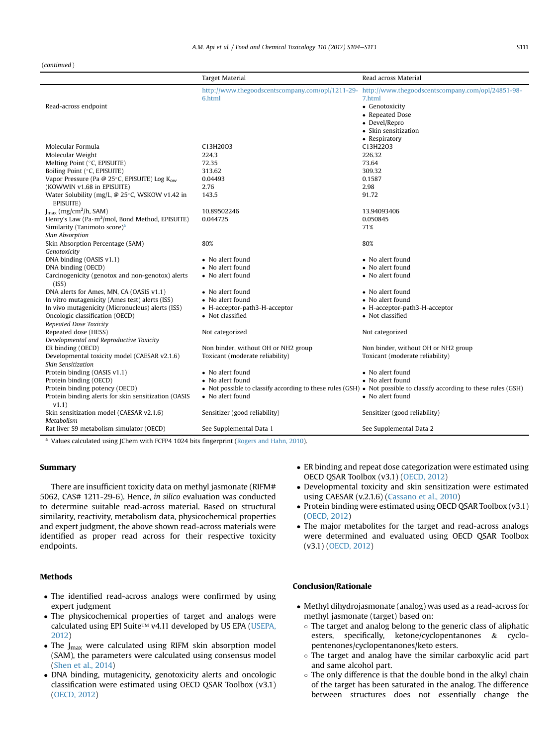#### (continued )

|                                                                     | <b>Target Material</b>                                                 | Read across Material                                                                                                                                                                                        |
|---------------------------------------------------------------------|------------------------------------------------------------------------|-------------------------------------------------------------------------------------------------------------------------------------------------------------------------------------------------------------|
| Read-across endpoint                                                | 6.html                                                                 | http://www.thegoodscentscompany.com/opl/1211-29- http://www.thegoodscentscompany.com/opl/24851-98-<br>7.html<br>• Genotoxicity<br>• Repeated Dose<br>• Devel/Repro<br>• Skin sensitization<br>• Respiratory |
| Molecular Formula                                                   | C13H20O3                                                               | C13H22O3                                                                                                                                                                                                    |
| Molecular Weight                                                    | 224.3                                                                  | 226.32                                                                                                                                                                                                      |
| Melting Point (°C, EPISUITE)                                        | 72.35                                                                  | 73.64                                                                                                                                                                                                       |
| Boiling Point (°C, EPISUITE)                                        | 313.62                                                                 | 309.32                                                                                                                                                                                                      |
| Vapor Pressure (Pa @ 25°C, EPISUITE) Log Kow                        | 0.04493                                                                | 0.1587                                                                                                                                                                                                      |
| (KOWWIN v1.68 in EPISUITE)                                          | 2.76                                                                   | 2.98                                                                                                                                                                                                        |
| Water Solubility (mg/L, @ 25°C, WSKOW v1.42 in<br>EPISUITE)         | 143.5                                                                  | 91.72                                                                                                                                                                                                       |
| $J_{\text{max}}$ (mg/cm <sup>2</sup> /h, SAM)                       | 10.89502246                                                            | 13.94093406                                                                                                                                                                                                 |
| Henry's Law (Pa $\cdot$ m <sup>3</sup> /mol, Bond Method, EPISUITE) | 0.044725                                                               | 0.050845                                                                                                                                                                                                    |
| Similarity (Tanimoto score) <sup>a</sup>                            |                                                                        | 71%                                                                                                                                                                                                         |
| Skin Absorption                                                     |                                                                        |                                                                                                                                                                                                             |
| Skin Absorption Percentage (SAM)                                    | 80%                                                                    | 80%                                                                                                                                                                                                         |
| Genotoxicity                                                        |                                                                        |                                                                                                                                                                                                             |
| DNA binding (OASIS v1.1)                                            | • No alert found                                                       | • No alert found                                                                                                                                                                                            |
| DNA binding (OECD)                                                  | • No alert found                                                       | • No alert found                                                                                                                                                                                            |
| Carcinogenicity (genotox and non-genotox) alerts<br>(ISS)           | • No alert found                                                       | • No alert found                                                                                                                                                                                            |
| DNA alerts for Ames, MN, CA (OASIS v1.1)                            | • No alert found                                                       | • No alert found                                                                                                                                                                                            |
| In vitro mutagenicity (Ames test) alerts (ISS)                      | • No alert found                                                       | • No alert found                                                                                                                                                                                            |
| In vivo mutagenicity (Micronucleus) alerts (ISS)                    | • H-acceptor-path3-H-acceptor                                          | • H-acceptor-path3-H-acceptor                                                                                                                                                                               |
| Oncologic classification (OECD)<br>Repeated Dose Toxicity           | • Not classified                                                       | • Not classified                                                                                                                                                                                            |
| Repeated dose (HESS)<br>Developmental and Reproductive Toxicity     | Not categorized                                                        | Not categorized                                                                                                                                                                                             |
| ER binding (OECD)<br>Developmental toxicity model (CAESAR v2.1.6)   | Non binder, without OH or NH2 group<br>Toxicant (moderate reliability) | Non binder, without OH or NH2 group<br>Toxicant (moderate reliability)                                                                                                                                      |
| Skin Sensitization                                                  |                                                                        |                                                                                                                                                                                                             |
| Protein binding (OASIS v1.1)                                        | • No alert found                                                       | • No alert found                                                                                                                                                                                            |
| Protein binding (OECD)                                              | • No alert found                                                       | • No alert found                                                                                                                                                                                            |
| Protein binding potency (OECD)                                      |                                                                        | • Not possible to classify according to these rules (GSH) • Not possible to classify according to these rules (GSH)                                                                                         |
| Protein binding alerts for skin sensitization (OASIS<br>v1.1)       | • No alert found                                                       | • No alert found                                                                                                                                                                                            |
| Skin sensitization model (CAESAR v2.1.6)<br>Metabolism              | Sensitizer (good reliability)                                          | Sensitizer (good reliability)                                                                                                                                                                               |
| Rat liver S9 metabolism simulator (OECD)                            | See Supplemental Data 1                                                | See Supplemental Data 2                                                                                                                                                                                     |

<sup>a</sup> Values calculated using JChem with FCFP4 1024 bits fingerprint [\(Rogers and Hahn, 2010\)](#page-9-0).

## Summary

There are insufficient toxicity data on methyl jasmonate (RIFM# 5062, CAS# 1211-29-6). Hence, in silico evaluation was conducted to determine suitable read-across material. Based on structural similarity, reactivity, metabolism data, physicochemical properties and expert judgment, the above shown read-across materials were identified as proper read across for their respective toxicity endpoints.

# Methods

- The identified read-across analogs were confirmed by using expert judgment
- The physicochemical properties of target and analogs were calculated using EPI Suite™ v4.11 developed by US EPA [\(USEPA,](#page-9-0) [2012\)](#page-9-0)
- The J<sub>max</sub> were calculated using RIFM skin absorption model (SAM), the parameters were calculated using consensus model [\(Shen et al., 2014](#page-9-0))
- DNA binding, mutagenicity, genotoxicity alerts and oncologic classification were estimated using OECD QSAR Toolbox (v3.1) [\(OECD, 2012](#page-8-0))
- ER binding and repeat dose categorization were estimated using OECD QSAR Toolbox (v3.1) [\(OECD, 2012](#page-8-0))
- Developmental toxicity and skin sensitization were estimated using CAESAR (v.2.1.6) ([Cassano et al., 2010](#page-8-0))
- Protein binding were estimated using OECD QSAR Toolbox (v3.1) [\(OECD, 2012](#page-8-0))
- The major metabolites for the target and read-across analogs were determined and evaluated using OECD QSAR Toolbox (v3.1) [\(OECD, 2012](#page-8-0))

## Conclusion/Rationale

- Methyl dihydrojasmonate (analog) was used as a read-across for methyl jasmonate (target) based on:
	- The target and analog belong to the generic class of aliphatic esters, specifically, ketone/cyclopentanones & cyclopentenones/cyclopentanones/keto esters.
	- The target and analog have the similar carboxylic acid part and same alcohol part.
	- The only difference is that the double bond in the alkyl chain of the target has been saturated in the analog. The difference between structures does not essentially change the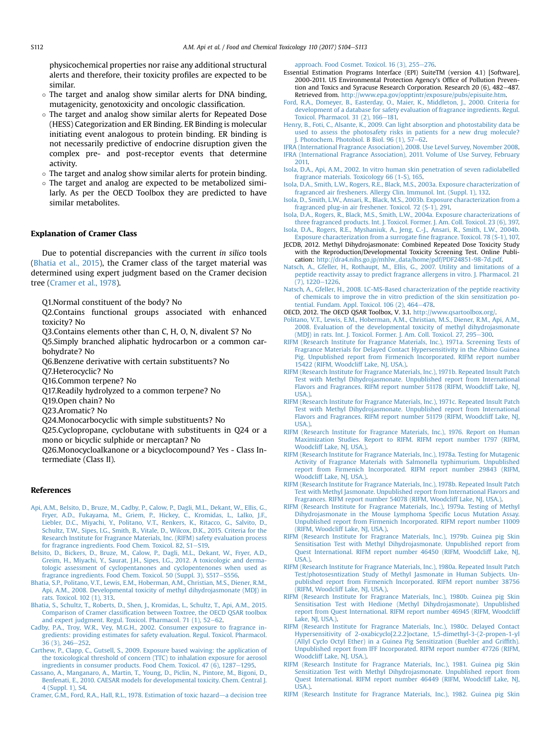<span id="page-8-0"></span>physicochemical properties nor raise any additional structural alerts and therefore, their toxicity profiles are expected to be similar.

- The target and analog show similar alerts for DNA binding, mutagenicity, genotoxicity and oncologic classification.
- The target and analog show similar alerts for Repeated Dose (HESS) Categorization and ER Binding. ER Binding is molecular initiating event analogous to protein binding. ER binding is not necessarily predictive of endocrine disruption given the complex pre- and post-receptor events that determine activity.
- The target and analog show similar alerts for protein binding.
- The target and analog are expected to be metabolized similarly. As per the OECD Toolbox they are predicted to have similar metabolites.

## Explanation of Cramer Class

Due to potential discrepancies with the current in silico tools (Bhatia et al., 2015), the Cramer class of the target material was determined using expert judgment based on the Cramer decision tree (Cramer et al., 1978).

Q1.Normal constituent of the body? No

Q2.Contains functional groups associated with enhanced toxicity? No

Q3.Contains elements other than C, H, O, N, divalent S? No

Q5.Simply branched aliphatic hydrocarbon or a common carbohydrate? No

Q6.Benzene derivative with certain substituents? No

Q7.Heterocyclic? No

Q16.Common terpene? No

Q17.Readily hydrolyzed to a common terpene? No

- Q19.Open chain? No
- Q23.Aromatic? No
- Q24.Monocarbocyclic with simple substituents? No

Q25.Cyclopropane, cyclobutane with substituents in Q24 or a mono or bicyclic sulphide or mercaptan? No

Q26.Monocycloalkanone or a bicyclocompound? Yes - Class Intermediate (Class II).

## References

- [Api, A.M., Belsito, D., Bruze, M., Cadby, P., Calow, P., Dagli, M.L., Dekant, W., Ellis, G.,](http://refhub.elsevier.com/S0278-6915(17)30131-X/sref1) [Fryer, A.D., Fukayama, M., Griem, P., Hickey, C., Kromidas, L., Lalko, J.F.,](http://refhub.elsevier.com/S0278-6915(17)30131-X/sref1) [Liebler, D.C., Miyachi, Y., Politano, V.T., Renkers, K., Ritacco, G., Salvito, D.,](http://refhub.elsevier.com/S0278-6915(17)30131-X/sref1) [Schultz, T.W., Sipes, I.G., Smith, B., Vitale, D., Wilcox, D.K., 2015. Criteria for the](http://refhub.elsevier.com/S0278-6915(17)30131-X/sref1) [Research Institute for Fragrance Materials, Inc. \(RIFM\) safety evaluation process](http://refhub.elsevier.com/S0278-6915(17)30131-X/sref1) [for fragrance ingredients. Food Chem. Toxicol. 82, S1](http://refhub.elsevier.com/S0278-6915(17)30131-X/sref1)-[S19](http://refhub.elsevier.com/S0278-6915(17)30131-X/sref1).
- [Belsito, D., Bickers, D., Bruze, M., Calow, P., Dagli, M.L., Dekant, W., Fryer, A.D.,](http://refhub.elsevier.com/S0278-6915(17)30131-X/sref2) [Greim, H., Miyachi, Y., Saurat, J.H., Sipes, I.G., 2012. A toxicologic and derma](http://refhub.elsevier.com/S0278-6915(17)30131-X/sref2)[tologic assessment of cyclopentanones and cyclopentenones when used as](http://refhub.elsevier.com/S0278-6915(17)30131-X/sref2) [fragrance ingredients. Food Chem. Toxicol. 50 \(Suppl. 3\), S517](http://refhub.elsevier.com/S0278-6915(17)30131-X/sref2)-[S556.](http://refhub.elsevier.com/S0278-6915(17)30131-X/sref2)
- [Bhatia, S.P., Politano, V.T., Lewis, E.M., Hoberman, A.M., Christian, M.S., Diener, R.M.,](http://refhub.elsevier.com/S0278-6915(17)30131-X/sref3) [Api, A.M., 2008. Developmental toxicity of methyl dihydrojasmonate \(MDJ\) in](http://refhub.elsevier.com/S0278-6915(17)30131-X/sref3) [rats. Toxicol. 102 \(1\), 313.](http://refhub.elsevier.com/S0278-6915(17)30131-X/sref3)
- [Bhatia, S., Schultz, T., Roberts, D., Shen, J., Kromidas, L., Schultz, T., Api, A.M., 2015.](http://refhub.elsevier.com/S0278-6915(17)30131-X/sref4) Comparison of Cramer classifi[cation between Toxtree, the OECD QSAR toolbox](http://refhub.elsevier.com/S0278-6915(17)30131-X/sref4) [and expert judgment. Regul. Toxicol. Pharmacol. 71 \(1\), 52](http://refhub.elsevier.com/S0278-6915(17)30131-X/sref4)-[62.](http://refhub.elsevier.com/S0278-6915(17)30131-X/sref4)
- [Cadby, P.A., Troy, W.R., Vey, M.G.H., 2002. Consumer exposure to fragrance in](http://refhub.elsevier.com/S0278-6915(17)30131-X/sref5)[gredients: providing estimates for safety evaluation. Regul. Toxicol. Pharmacol.](http://refhub.elsevier.com/S0278-6915(17)30131-X/sref5) [36 \(3\), 246](http://refhub.elsevier.com/S0278-6915(17)30131-X/sref5)-[252.](http://refhub.elsevier.com/S0278-6915(17)30131-X/sref5)
- [Carthew, P., Clapp, C., Gutsell, S., 2009. Exposure based waiving: the application of](http://refhub.elsevier.com/S0278-6915(17)30131-X/sref6) [the toxicological threshold of concern \(TTC\) to inhalation exposure for aerosol](http://refhub.elsevier.com/S0278-6915(17)30131-X/sref6) [ingredients in consumer products. Food Chem. Toxicol. 47 \(6\), 1287](http://refhub.elsevier.com/S0278-6915(17)30131-X/sref6)-[1295.](http://refhub.elsevier.com/S0278-6915(17)30131-X/sref6)
- [Cassano, A., Manganaro, A., Martin, T., Young, D., Piclin, N., Pintore, M., Bigoni, D.,](http://refhub.elsevier.com/S0278-6915(17)30131-X/sref7) [Benfenati, E., 2010. CAESAR models for developmental toxicity. Chem. Central J.](http://refhub.elsevier.com/S0278-6915(17)30131-X/sref7) [4 \(Suppl. 1\), S4.](http://refhub.elsevier.com/S0278-6915(17)30131-X/sref7)

[Cramer, G.M., Ford, R.A., Hall, R.L., 1978. Estimation of toxic hazard](http://refhub.elsevier.com/S0278-6915(17)30131-X/sref8)-[a decision tree](http://refhub.elsevier.com/S0278-6915(17)30131-X/sref8)

approach. Food Cosmet. Toxicol.  $16(3)$ ,  $255-276$  $255-276$ .

- Essential Estimation Programs Interface (EPI) SuiteTM (version 4.1) [Software], 2000-2011. US Environmental Protection Agency's Office of Pollution Prevention and Toxics and Syracuse Research Corporation. Research 20  $(6)$ , 482-487. Retrieved from. <http://www.epa.gov/opptintr/exposure/pubs/episuite.htm>.
- [Ford, R.A., Domeyer, B., Easterday, O., Maier, K., Middleton, J., 2000. Criteria for](http://refhub.elsevier.com/S0278-6915(17)30131-X/sref10) [development of a database for safety evaluation of fragrance ingredients. Regul.](http://refhub.elsevier.com/S0278-6915(17)30131-X/sref10) Toxicol. Pharmacol. 31 $(2)$ , 166-[181.](http://refhub.elsevier.com/S0278-6915(17)30131-X/sref10)
- [Henry, B., Foti, C., Alsante, K., 2009. Can light absorption and photostability data be](http://refhub.elsevier.com/S0278-6915(17)30131-X/sref11) [used to assess the photosafety risks in patients for a new drug molecule?](http://refhub.elsevier.com/S0278-6915(17)30131-X/sref11) I. Photochem. Photobiol. B Biol. 96  $(1)$ , 57-[62](http://refhub.elsevier.com/S0278-6915(17)30131-X/sref11).
- [IFRA \(International Fragrance Association\), 2008. Use Level Survey, November 2008](http://refhub.elsevier.com/S0278-6915(17)30131-X/sref12). [IFRA \(International Fragrance Association\), 2011. Volume of Use Survey, February](http://refhub.elsevier.com/S0278-6915(17)30131-X/sref13) [2011.](http://refhub.elsevier.com/S0278-6915(17)30131-X/sref13)
- [Isola, D.A., Api, A.M., 2002. In vitro human skin penetration of seven radiolabelled](http://refhub.elsevier.com/S0278-6915(17)30131-X/sref14) [fragrance materials. Toxicology 66 \(1-S\), 165](http://refhub.elsevier.com/S0278-6915(17)30131-X/sref14).
- [Isola, D.A., Smith, L.W., Rogers, R.E., Black, M.S., 2003a. Exposure characterization of](http://refhub.elsevier.com/S0278-6915(17)30131-X/sref15) [fragranced air fresheners. Allergy Clin. Immunol. Int. \(Suppl. 1\), 132.](http://refhub.elsevier.com/S0278-6915(17)30131-X/sref15)
- [Isola, D., Smith, L.W., Ansari, R., Black, M.S., 2003b. Exposure characterization from a](http://refhub.elsevier.com/S0278-6915(17)30131-X/sref16) [fragranced plug-in air freshener. Toxicol. 72 \(S-1\), 291.](http://refhub.elsevier.com/S0278-6915(17)30131-X/sref16)
- [Isola, D.A., Rogers, R., Black, M.S., Smith, L.W., 2004a. Exposure characterizations of](http://refhub.elsevier.com/S0278-6915(17)30131-X/sref17) [three fragranced products. Int. J. Toxicol. Former. J. Am. Coll. Toxicol. 23 \(6\), 397.](http://refhub.elsevier.com/S0278-6915(17)30131-X/sref17) [Isola, D.A., Rogers, R.E., Myshaniuk, A., Jeng, C.-J., Ansari, R., Smith, L.W., 2004b.](http://refhub.elsevier.com/S0278-6915(17)30131-X/sref18)
- [Exposure characterization from a surrogate](http://refhub.elsevier.com/S0278-6915(17)30131-X/sref18) fine fragrance. Toxicol. 78 (S-1), 107. JECDB, 2012. Methyl Dihydrojasmonate: Combined Repeated Dose Toxicity Study with the Reproduction/Developmental Toxicity Screening Test. Online Publi-
- cation: [http://dra4.nihs.go.jp/mhlw\\_data/home/pdf/PDF24851-98-7d.pdf.](http://dra4.nihs.go.jp/mhlw_data/home/pdf/PDF24851-98-7d.pdf) [Natsch, A., Gfeller, H., Rothaupt, M., Ellis, G., 2007. Utility and limitations of a](http://refhub.elsevier.com/S0278-6915(17)30131-X/sref20) [peptide reactivity assay to predict fragrance allergens in vitro. J. Pharmacol. 21](http://refhub.elsevier.com/S0278-6915(17)30131-X/sref20)  $(7)$ ,  $1220 - 1226$  $1220 - 1226$ .
- [Natsch, A., Gfeller, H., 2008. LC-MS-Based characterization of the peptide reactivity](http://refhub.elsevier.com/S0278-6915(17)30131-X/sref21) [of chemicals to improve the in vitro prediction of the skin sensitization po](http://refhub.elsevier.com/S0278-6915(17)30131-X/sref21)[tential. Fundam. Appl. Toxicol. 106 \(2\), 464](http://refhub.elsevier.com/S0278-6915(17)30131-X/sref21)-[478.](http://refhub.elsevier.com/S0278-6915(17)30131-X/sref21)
- OECD, 2012. The OECD QSAR Toolbox, V. 3.1. [http://www.qsartoolbox.org/.](http://www.qsartoolbox.org/)
- [Politano, V.T., Lewis, E.M., Hoberman, A.M., Christian, M.S., Diener, R.M., Api, A.M.,](http://refhub.elsevier.com/S0278-6915(17)30131-X/sref24) [2008. Evaluation of the developmental toxicity of methyl dihydrojasmonate](http://refhub.elsevier.com/S0278-6915(17)30131-X/sref24) [\(MDJ\) in rats. Int. J. Toxicol. Former. J. Am. Coll. Toxicol. 27, 295](http://refhub.elsevier.com/S0278-6915(17)30131-X/sref24)-[300.](http://refhub.elsevier.com/S0278-6915(17)30131-X/sref24)
- [RIFM \(Research Institute for Fragrance Materials, Inc.\), 1971a. Screening Tests of](http://refhub.elsevier.com/S0278-6915(17)30131-X/sref25) [Fragrance Materials for Delayed Contact Hypersensitivity in the Albino Guinea](http://refhub.elsevier.com/S0278-6915(17)30131-X/sref25) [Pig. Unpublished report from Firmenich Incorporated. RIFM report number](http://refhub.elsevier.com/S0278-6915(17)30131-X/sref25) [15422 \(RIFM, Woodcliff Lake, NJ, USA.\)](http://refhub.elsevier.com/S0278-6915(17)30131-X/sref25).
- [RIFM \(Research Institute for Fragrance Materials, Inc.\), 1971b. Repeated Insult Patch](http://refhub.elsevier.com/S0278-6915(17)30131-X/sref26) [Test with Methyl Dihydrojasmonate. Unpublished report from International](http://refhub.elsevier.com/S0278-6915(17)30131-X/sref26) [Flavors and Fragrances. RIFM report number 51178 \(RIFM, Woodcliff Lake, NJ,](http://refhub.elsevier.com/S0278-6915(17)30131-X/sref26) [USA.\)](http://refhub.elsevier.com/S0278-6915(17)30131-X/sref26).
- [RIFM \(Research Institute for Fragrance Materials, Inc.\), 1971c. Repeated Insult Patch](http://refhub.elsevier.com/S0278-6915(17)30131-X/sref27) [Test with Methyl Dihydrojasmonate. Unpublished report from International](http://refhub.elsevier.com/S0278-6915(17)30131-X/sref27) [Flavors and Fragrances. RIFM report number 51179 \(RIFM, Woodcliff Lake, NJ,](http://refhub.elsevier.com/S0278-6915(17)30131-X/sref27) [USA.\)](http://refhub.elsevier.com/S0278-6915(17)30131-X/sref27).
- [RIFM \(Research Institute for Fragrance Materials, Inc.\), 1976. Report on Human](http://refhub.elsevier.com/S0278-6915(17)30131-X/sref28) [Maximization Studies. Report to RIFM. RIFM report number 1797 \(RIFM,](http://refhub.elsevier.com/S0278-6915(17)30131-X/sref28) [Woodcliff Lake, NJ, USA.\).](http://refhub.elsevier.com/S0278-6915(17)30131-X/sref28)
- [RIFM \(Research Institute for Fragrance Materials, Inc.\), 1978a. Testing for Mutagenic](http://refhub.elsevier.com/S0278-6915(17)30131-X/sref29) [Activity of Fragrance Materials with Salmonella typhimurium. Unpublished](http://refhub.elsevier.com/S0278-6915(17)30131-X/sref29) [report from Firmenich Incorporated. RIFM report number 29843 \(RIFM,](http://refhub.elsevier.com/S0278-6915(17)30131-X/sref29) [Woodcliff Lake, NJ, USA.\).](http://refhub.elsevier.com/S0278-6915(17)30131-X/sref29)
- [RIFM \(Research Institute for Fragrance Materials, Inc.\), 1978b. Repeated Insult Patch](http://refhub.elsevier.com/S0278-6915(17)30131-X/sref30) [Test with Methyl Jasmonate. Unpublished report from International Flavors and](http://refhub.elsevier.com/S0278-6915(17)30131-X/sref30) [Fragrances. RIFM report number 54078 \(RIFM, Woodcliff Lake, NJ, USA.\)](http://refhub.elsevier.com/S0278-6915(17)30131-X/sref30).
- [RIFM \(Research Institute for Fragrance Materials, Inc.\), 1979a. Testing of Methyl](http://refhub.elsevier.com/S0278-6915(17)30131-X/sref31) [Dihydrojasmonate in the Mouse Lymphoma Speci](http://refhub.elsevier.com/S0278-6915(17)30131-X/sref31)fic Locus Mutation Assay. [Unpublished report from Firmenich Incorporated. RIFM report number 11009](http://refhub.elsevier.com/S0278-6915(17)30131-X/sref31) [\(RIFM, Woodcliff Lake, NJ, USA.\)](http://refhub.elsevier.com/S0278-6915(17)30131-X/sref31).
- [RIFM \(Research Institute for Fragrance Materials, Inc.\), 1979b. Guinea pig Skin](http://refhub.elsevier.com/S0278-6915(17)30131-X/sref32) [Sensitisation Test with Methyl Dihydrojasmonate. Unpublished report from](http://refhub.elsevier.com/S0278-6915(17)30131-X/sref32) [Quest International. RIFM report number 46450 \(RIFM, Woodcliff Lake, NJ,](http://refhub.elsevier.com/S0278-6915(17)30131-X/sref32) [USA.\)](http://refhub.elsevier.com/S0278-6915(17)30131-X/sref32).
- [RIFM \(Research Institute for Fragrance Materials, Inc.\), 1980a. Repeated Insult Patch](http://refhub.elsevier.com/S0278-6915(17)30131-X/sref33) [Test/photosesntization Study of Methyl Jasmonate in Human Subjects. Un](http://refhub.elsevier.com/S0278-6915(17)30131-X/sref33)[published report from Firmenich Incorporated. RIFM report number 38756](http://refhub.elsevier.com/S0278-6915(17)30131-X/sref33) [\(RIFM, Woodcliff Lake, NJ, USA.\)](http://refhub.elsevier.com/S0278-6915(17)30131-X/sref33).
- [RIFM \(Research Institute for Fragrance Materials, Inc.\), 1980b. Guinea pig Skin](http://refhub.elsevier.com/S0278-6915(17)30131-X/sref34) [Sensitisation Test with Hedione \(Methyl Dihydrojasmonate\). Unpublished](http://refhub.elsevier.com/S0278-6915(17)30131-X/sref34) [report from Quest International. RIFM report number 46945 \(RIFM, Woodcliff](http://refhub.elsevier.com/S0278-6915(17)30131-X/sref34) [Lake, NJ, USA.\)](http://refhub.elsevier.com/S0278-6915(17)30131-X/sref34).
- [RIFM \(Research Institute for Fragrance Materials, Inc.\), 1980c. Delayed Contact](http://refhub.elsevier.com/S0278-6915(17)30131-X/sref35) [Hypersensitivity of 2-oxabicyclo\[2.2.2\]octane, 1,5-dimethyl-3-\(2-propen-1-yl](http://refhub.elsevier.com/S0278-6915(17)30131-X/sref35) [\(Allyl Cyclo Octyl Ether\) in a Guinea Pig Sensitization \(Buehler and Grif](http://refhub.elsevier.com/S0278-6915(17)30131-X/sref35)fith). [Unpublished report from IFF Incorporated. RIFM report number 47726 \(RIFM,](http://refhub.elsevier.com/S0278-6915(17)30131-X/sref35) [Woodcliff Lake, NJ, USA.\).](http://refhub.elsevier.com/S0278-6915(17)30131-X/sref35)
- [RIFM \(Research Institute for Fragrance Materials, Inc.\), 1981. Guinea pig Skin](http://refhub.elsevier.com/S0278-6915(17)30131-X/sref36) [Sensitization Test with Methyl Dihydrojasmonate. Unpublished report from](http://refhub.elsevier.com/S0278-6915(17)30131-X/sref36) [Quest International. RIFM report number 46449 \(RIFM, Woodcliff Lake, NJ,](http://refhub.elsevier.com/S0278-6915(17)30131-X/sref36)  $IISA.$
- [RIFM \(Research Institute for Fragrance Materials, Inc.\), 1982. Guinea pig Skin](http://refhub.elsevier.com/S0278-6915(17)30131-X/sref37)